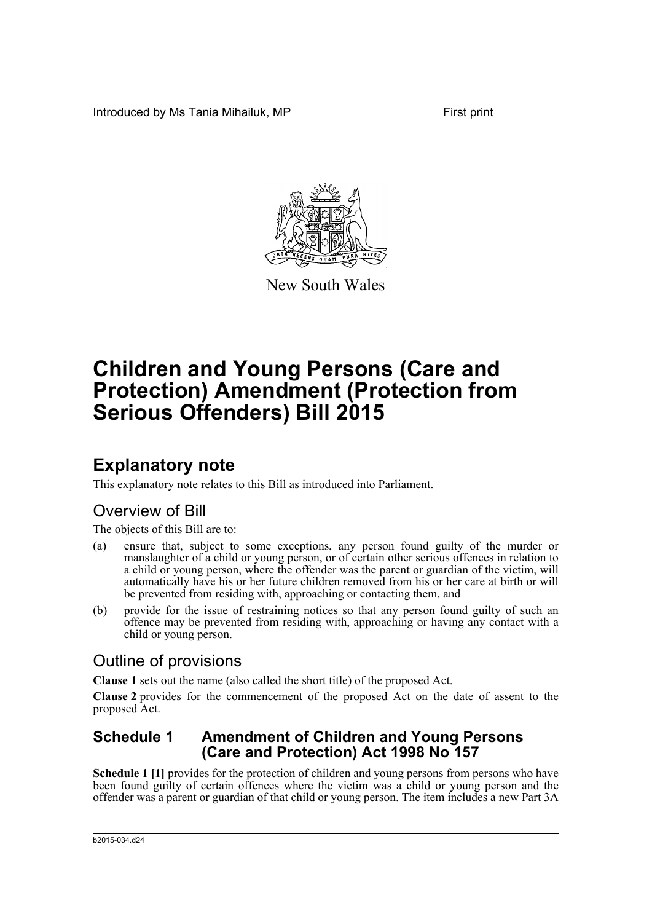Introduced by Ms Tania Mihailuk, MP First print



New South Wales

# **Children and Young Persons (Care and Protection) Amendment (Protection from Serious Offenders) Bill 2015**

# **Explanatory note**

This explanatory note relates to this Bill as introduced into Parliament.

## Overview of Bill

The objects of this Bill are to:

- (a) ensure that, subject to some exceptions, any person found guilty of the murder or manslaughter of a child or young person, or of certain other serious offences in relation to a child or young person, where the offender was the parent or guardian of the victim, will automatically have his or her future children removed from his or her care at birth or will be prevented from residing with, approaching or contacting them, and
- (b) provide for the issue of restraining notices so that any person found guilty of such an offence may be prevented from residing with, approaching or having any contact with a child or young person.

## Outline of provisions

**Clause 1** sets out the name (also called the short title) of the proposed Act.

**Clause 2** provides for the commencement of the proposed Act on the date of assent to the proposed Act.

### **Schedule 1 Amendment of Children and Young Persons (Care and Protection) Act 1998 No 157**

**Schedule 1 [1]** provides for the protection of children and young persons from persons who have been found guilty of certain offences where the victim was a child or young person and the offender was a parent or guardian of that child or young person. The item includes a new Part 3A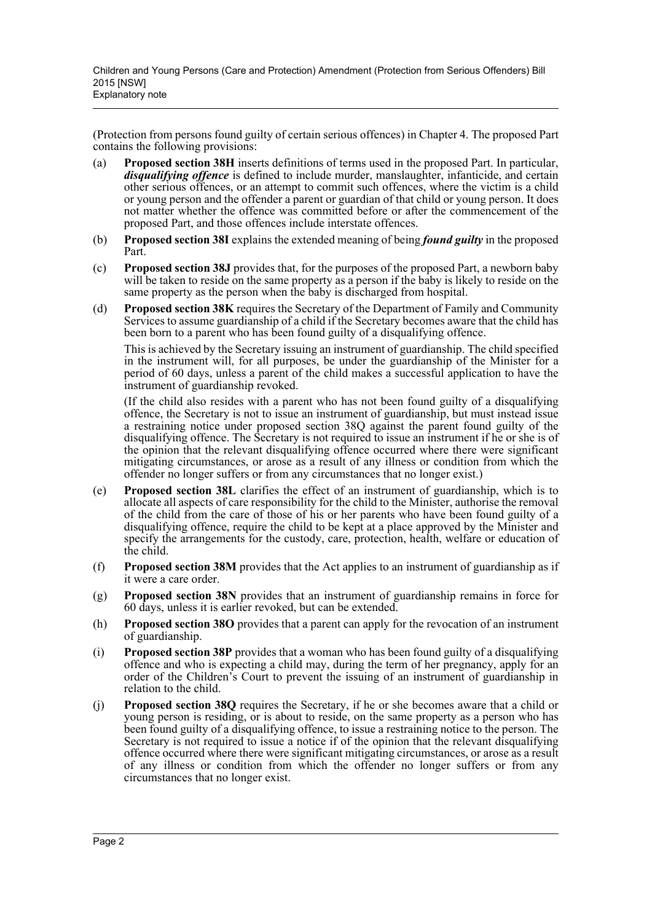(Protection from persons found guilty of certain serious offences) in Chapter 4. The proposed Part contains the following provisions:

- (a) **Proposed section 38H** inserts definitions of terms used in the proposed Part. In particular, *disqualifying offence* is defined to include murder, manslaughter, infanticide, and certain other serious offences, or an attempt to commit such offences, where the victim is a child or young person and the offender a parent or guardian of that child or young person. It does not matter whether the offence was committed before or after the commencement of the proposed Part, and those offences include interstate offences.
- (b) **Proposed section 38I** explains the extended meaning of being *found guilty* in the proposed Part.
- (c) **Proposed section 38J** provides that, for the purposes of the proposed Part, a newborn baby will be taken to reside on the same property as a person if the baby is likely to reside on the same property as the person when the baby is discharged from hospital.
- (d) **Proposed section 38K** requires the Secretary of the Department of Family and Community Services to assume guardianship of a child if the Secretary becomes aware that the child has been born to a parent who has been found guilty of a disqualifying offence.

This is achieved by the Secretary issuing an instrument of guardianship. The child specified in the instrument will, for all purposes, be under the guardianship of the Minister for a period of 60 days, unless a parent of the child makes a successful application to have the instrument of guardianship revoked.

(If the child also resides with a parent who has not been found guilty of a disqualifying offence, the Secretary is not to issue an instrument of guardianship, but must instead issue a restraining notice under proposed section 38Q against the parent found guilty of the disqualifying offence. The Secretary is not required to issue an instrument if he or she is of the opinion that the relevant disqualifying offence occurred where there were significant mitigating circumstances, or arose as a result of any illness or condition from which the offender no longer suffers or from any circumstances that no longer exist.)

- (e) **Proposed section 38L** clarifies the effect of an instrument of guardianship, which is to allocate all aspects of care responsibility for the child to the Minister, authorise the removal of the child from the care of those of his or her parents who have been found guilty of a disqualifying offence, require the child to be kept at a place approved by the Minister and specify the arrangements for the custody, care, protection, health, welfare or education of the child.
- (f) **Proposed section 38M** provides that the Act applies to an instrument of guardianship as if it were a care order.
- (g) **Proposed section 38N** provides that an instrument of guardianship remains in force for 60 days, unless it is earlier revoked, but can be extended.
- (h) **Proposed section 38O** provides that a parent can apply for the revocation of an instrument of guardianship.
- (i) **Proposed section 38P** provides that a woman who has been found guilty of a disqualifying offence and who is expecting a child may, during the term of her pregnancy, apply for an order of the Children's Court to prevent the issuing of an instrument of guardianship in relation to the child.
- (j) **Proposed section 38Q** requires the Secretary, if he or she becomes aware that a child or young person is residing, or is about to reside, on the same property as a person who has been found guilty of a disqualifying offence, to issue a restraining notice to the person. The Secretary is not required to issue a notice if of the opinion that the relevant disqualifying offence occurred where there were significant mitigating circumstances, or arose as a result of any illness or condition from which the offender no longer suffers or from any circumstances that no longer exist.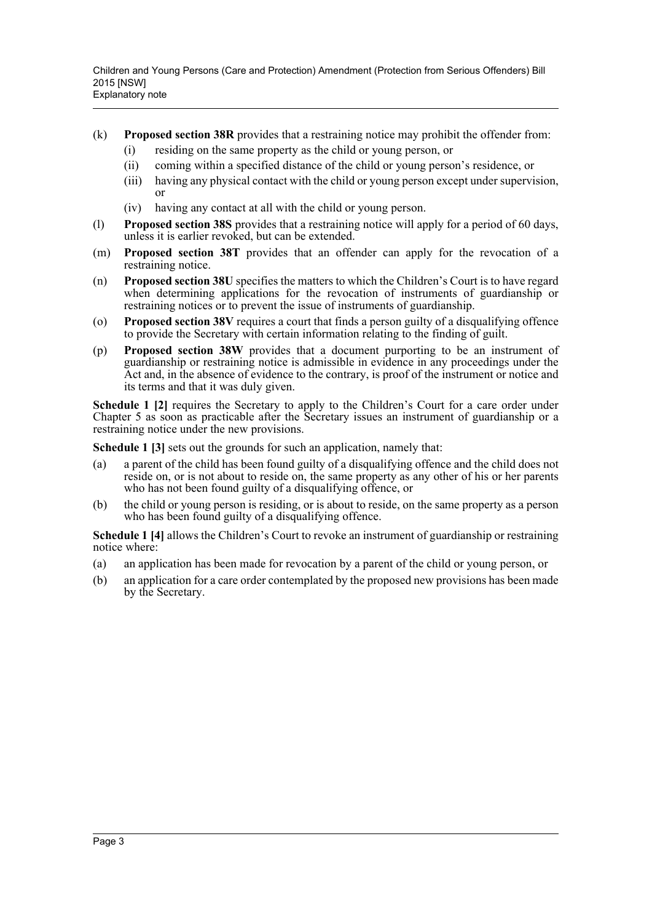- (k) **Proposed section 38R** provides that a restraining notice may prohibit the offender from: (i) residing on the same property as the child or young person, or
	- (ii) coming within a specified distance of the child or young person's residence, or
	- (iii) having any physical contact with the child or young person except under supervision, or
	- (iv) having any contact at all with the child or young person.
- (l) **Proposed section 38S** provides that a restraining notice will apply for a period of 60 days, unless it is earlier revoked, but can be extended.
- (m) **Proposed section 38T** provides that an offender can apply for the revocation of a restraining notice.
- (n) **Proposed section 38U** specifies the matters to which the Children's Court is to have regard when determining applications for the revocation of instruments of guardianship or restraining notices or to prevent the issue of instruments of guardianship.
- (o) **Proposed section 38V** requires a court that finds a person guilty of a disqualifying offence to provide the Secretary with certain information relating to the finding of guilt.
- (p) **Proposed section 38W** provides that a document purporting to be an instrument of guardianship or restraining notice is admissible in evidence in any proceedings under the Act and, in the absence of evidence to the contrary, is proof of the instrument or notice and its terms and that it was duly given.

**Schedule 1 [2]** requires the Secretary to apply to the Children's Court for a care order under Chapter 5 as soon as practicable after the Secretary issues an instrument of guardianship or a restraining notice under the new provisions.

**Schedule 1 [3]** sets out the grounds for such an application, namely that:

- (a) a parent of the child has been found guilty of a disqualifying offence and the child does not reside on, or is not about to reside on, the same property as any other of his or her parents who has not been found guilty of a disqualifying offence, or
- (b) the child or young person is residing, or is about to reside, on the same property as a person who has been found guilty of a disqualifying offence.

**Schedule 1 [4]** allows the Children's Court to revoke an instrument of guardianship or restraining notice where:

- (a) an application has been made for revocation by a parent of the child or young person, or
- (b) an application for a care order contemplated by the proposed new provisions has been made by the Secretary.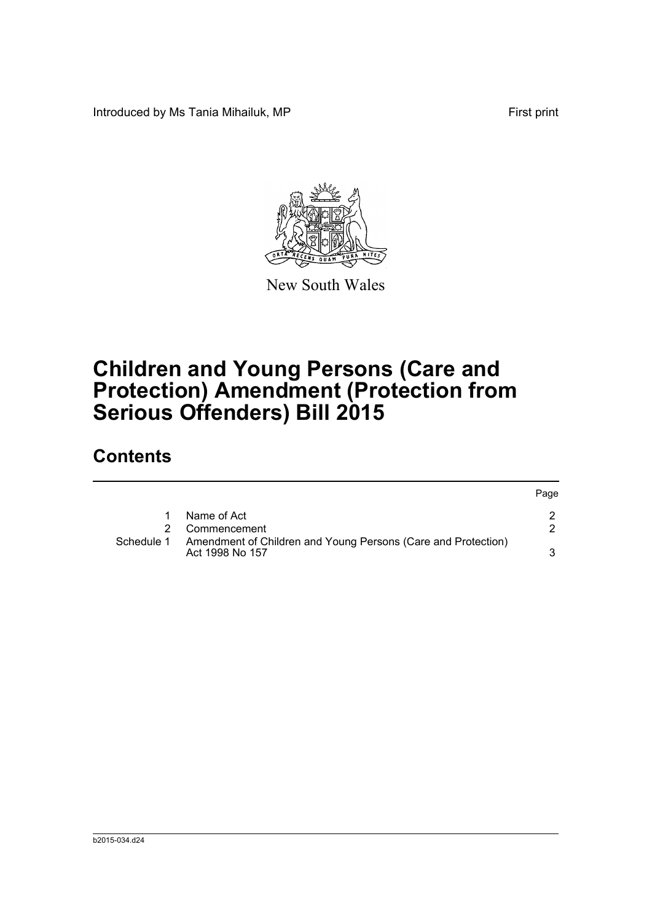Introduced by Ms Tania Mihailuk, MP First print



New South Wales

# **Children and Young Persons (Care and Protection) Amendment (Protection from Serious Offenders) Bill 2015**

## **Contents**

|            |                                                                                  | Page |
|------------|----------------------------------------------------------------------------------|------|
|            | Name of Act                                                                      |      |
|            | Commencement                                                                     |      |
| Schedule 1 | Amendment of Children and Young Persons (Care and Protection)<br>Act 1998 No 157 | ર    |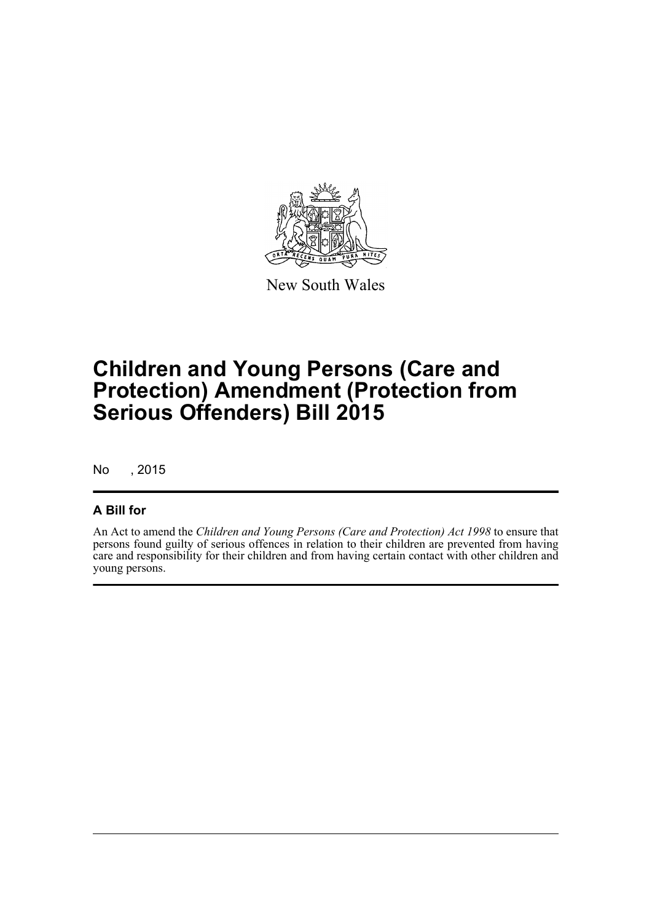

New South Wales

# **Children and Young Persons (Care and Protection) Amendment (Protection from Serious Offenders) Bill 2015**

No , 2015

### **A Bill for**

An Act to amend the *Children and Young Persons (Care and Protection) Act 1998* to ensure that persons found guilty of serious offences in relation to their children are prevented from having care and responsibility for their children and from having certain contact with other children and young persons.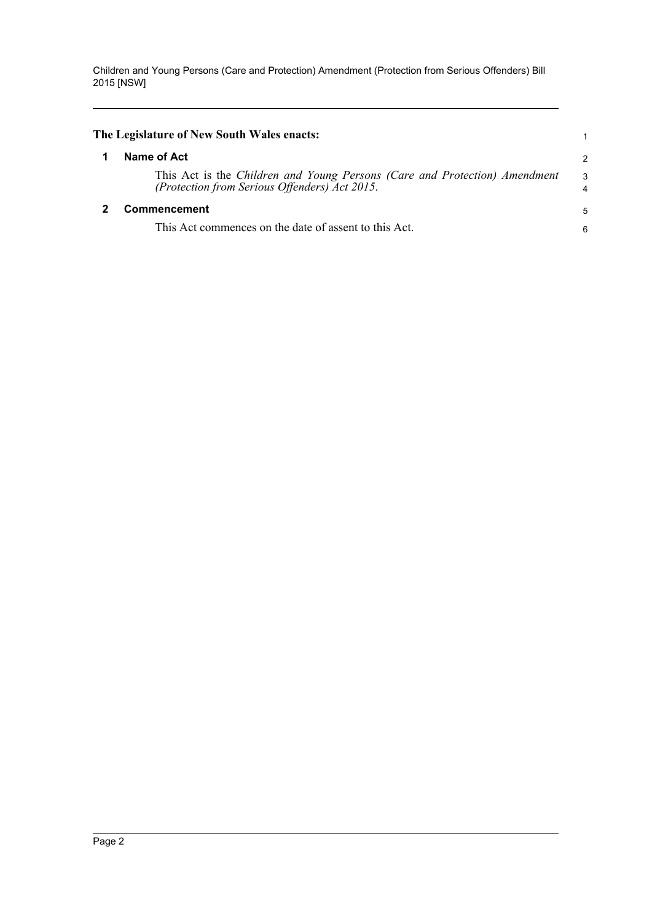<span id="page-5-1"></span><span id="page-5-0"></span>

| The Legislature of New South Wales enacts:                                                                                  |                     |  |
|-----------------------------------------------------------------------------------------------------------------------------|---------------------|--|
| Name of Act                                                                                                                 | $\overline{2}$      |  |
| This Act is the Children and Young Persons (Care and Protection) Amendment<br>(Protection from Serious Offenders) Act 2015. | 3<br>$\overline{4}$ |  |
| Commencement                                                                                                                |                     |  |
| This Act commences on the date of assent to this Act.                                                                       | 6                   |  |
|                                                                                                                             |                     |  |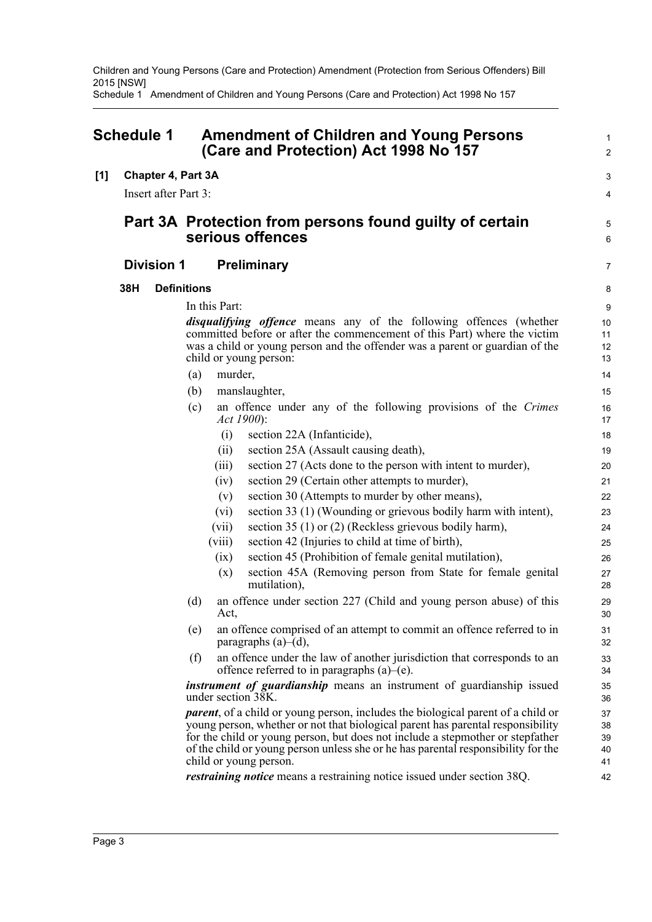Children and Young Persons (Care and Protection) Amendment (Protection from Serious Offenders) Bill 2015 [NSW] Schedule 1 Amendment of Children and Young Persons (Care and Protection) Act 1998 No 157

<span id="page-6-0"></span>

| <b>Schedule 1</b> |     | <b>Amendment of Children and Young Persons</b><br>(Care and Protection) Act 1998 No 157 |     |               | 1<br>$\overline{a}$                                                                                                                                                                                                                                                                                                                                                                                                                                    |                                  |
|-------------------|-----|-----------------------------------------------------------------------------------------|-----|---------------|--------------------------------------------------------------------------------------------------------------------------------------------------------------------------------------------------------------------------------------------------------------------------------------------------------------------------------------------------------------------------------------------------------------------------------------------------------|----------------------------------|
| [1]               |     | Chapter 4, Part 3A<br>Insert after Part 3:                                              |     |               |                                                                                                                                                                                                                                                                                                                                                                                                                                                        | 3<br>4                           |
|                   |     | Part 3A Protection from persons found guilty of certain<br>serious offences             |     |               | 5<br>6                                                                                                                                                                                                                                                                                                                                                                                                                                                 |                                  |
|                   |     | <b>Division 1</b>                                                                       |     |               | <b>Preliminary</b>                                                                                                                                                                                                                                                                                                                                                                                                                                     | 7                                |
|                   | 38H | <b>Definitions</b>                                                                      |     |               |                                                                                                                                                                                                                                                                                                                                                                                                                                                        | 8                                |
|                   |     |                                                                                         |     | In this Part: |                                                                                                                                                                                                                                                                                                                                                                                                                                                        | 9                                |
|                   |     |                                                                                         |     |               | disqualifying offence means any of the following offences (whether<br>committed before or after the commencement of this Part) where the victim<br>was a child or young person and the offender was a parent or guardian of the<br>child or young person:                                                                                                                                                                                              | 10<br>11<br>12<br>13             |
|                   |     |                                                                                         | (a) | murder,       |                                                                                                                                                                                                                                                                                                                                                                                                                                                        | 14                               |
|                   |     |                                                                                         | (b) |               | manslaughter,                                                                                                                                                                                                                                                                                                                                                                                                                                          | 15                               |
|                   |     |                                                                                         | (c) |               | an offence under any of the following provisions of the Crimes<br>Act 1900):                                                                                                                                                                                                                                                                                                                                                                           | 16<br>17                         |
|                   |     |                                                                                         |     | (i)           | section 22A (Infanticide),                                                                                                                                                                                                                                                                                                                                                                                                                             | 18                               |
|                   |     |                                                                                         |     | (ii)          | section 25A (Assault causing death),                                                                                                                                                                                                                                                                                                                                                                                                                   | 19                               |
|                   |     |                                                                                         |     | (iii)         | section 27 (Acts done to the person with intent to murder),                                                                                                                                                                                                                                                                                                                                                                                            | 20                               |
|                   |     |                                                                                         |     | (iv)          | section 29 (Certain other attempts to murder),                                                                                                                                                                                                                                                                                                                                                                                                         | 21                               |
|                   |     |                                                                                         |     | (v)           | section 30 (Attempts to murder by other means),                                                                                                                                                                                                                                                                                                                                                                                                        | 22                               |
|                   |     |                                                                                         |     | (vi)          | section 33 (1) (Wounding or grievous bodily harm with intent),                                                                                                                                                                                                                                                                                                                                                                                         | 23                               |
|                   |     |                                                                                         |     | (vii)         | section 35 (1) or (2) (Reckless grievous bodily harm),                                                                                                                                                                                                                                                                                                                                                                                                 | 24                               |
|                   |     |                                                                                         |     | (viii)        | section 42 (Injuries to child at time of birth),                                                                                                                                                                                                                                                                                                                                                                                                       | 25                               |
|                   |     |                                                                                         |     | (ix)          | section 45 (Prohibition of female genital mutilation),                                                                                                                                                                                                                                                                                                                                                                                                 | 26                               |
|                   |     |                                                                                         |     | (x)           | section 45A (Removing person from State for female genital<br>mutilation),                                                                                                                                                                                                                                                                                                                                                                             | 27<br>28                         |
|                   |     |                                                                                         | (d) | ACI,          | an offence under section 227 (Child and young person abuse) of this                                                                                                                                                                                                                                                                                                                                                                                    | 29<br>30                         |
|                   |     |                                                                                         | (e) |               | an offence comprised of an attempt to commit an offence referred to in<br>paragraphs $(a)$ – $(d)$ ,                                                                                                                                                                                                                                                                                                                                                   | 31<br>32                         |
|                   |     |                                                                                         | (f) |               | an offence under the law of another jurisdiction that corresponds to an<br>offence referred to in paragraphs $(a)$ – $(e)$ .                                                                                                                                                                                                                                                                                                                           | 33<br>34                         |
|                   |     |                                                                                         |     |               | instrument of guardianship means an instrument of guardianship issued<br>under section 38K.                                                                                                                                                                                                                                                                                                                                                            | 35<br>36                         |
|                   |     |                                                                                         |     |               | parent, of a child or young person, includes the biological parent of a child or<br>young person, whether or not that biological parent has parental responsibility<br>for the child or young person, but does not include a stepmother or stepfather<br>of the child or young person unless she or he has parental responsibility for the<br>child or young person.<br><i>restraining notice</i> means a restraining notice issued under section 38Q. | 37<br>38<br>39<br>40<br>41<br>42 |
|                   |     |                                                                                         |     |               |                                                                                                                                                                                                                                                                                                                                                                                                                                                        |                                  |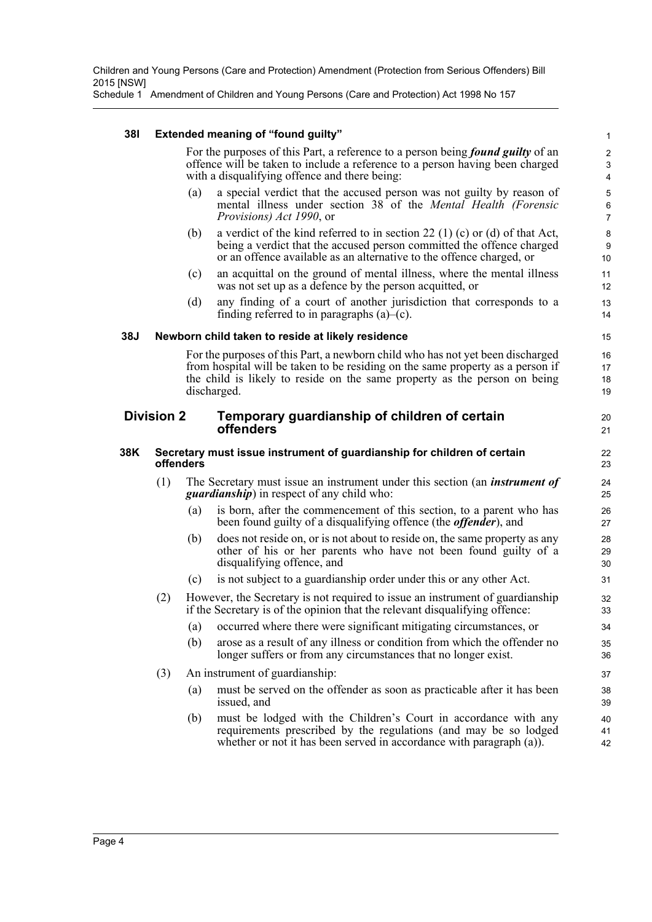Schedule 1 Amendment of Children and Young Persons (Care and Protection) Act 1998 No 157

#### **38I Extended meaning of "found guilty"**

For the purposes of this Part, a reference to a person being *found guilty* of an offence will be taken to include a reference to a person having been charged with a disqualifying offence and there being:

20 21

- (a) a special verdict that the accused person was not guilty by reason of mental illness under section 38 of the *Mental Health (Forensic Provisions) Act 1990*, or
- (b) a verdict of the kind referred to in section 22 (1) (c) or (d) of that Act, being a verdict that the accused person committed the offence charged or an offence available as an alternative to the offence charged, or
- (c) an acquittal on the ground of mental illness, where the mental illness was not set up as a defence by the person acquitted, or
- (d) any finding of a court of another jurisdiction that corresponds to a finding referred to in paragraphs  $(a)$ – $(c)$ .

#### **38J Newborn child taken to reside at likely residence**

For the purposes of this Part, a newborn child who has not yet been discharged from hospital will be taken to be residing on the same property as a person if the child is likely to reside on the same property as the person on being discharged.

#### **Division 2 Temporary guardianship of children of certain offenders**

#### **38K Secretary must issue instrument of guardianship for children of certain offenders**

- (1) The Secretary must issue an instrument under this section (an *instrument of guardianship*) in respect of any child who:
	- (a) is born, after the commencement of this section, to a parent who has been found guilty of a disqualifying offence (the *offender*), and
	- (b) does not reside on, or is not about to reside on, the same property as any other of his or her parents who have not been found guilty of a disqualifying offence, and
	- (c) is not subject to a guardianship order under this or any other Act.
- (2) However, the Secretary is not required to issue an instrument of guardianship if the Secretary is of the opinion that the relevant disqualifying offence:
	- (a) occurred where there were significant mitigating circumstances, or
	- (b) arose as a result of any illness or condition from which the offender no longer suffers or from any circumstances that no longer exist.
- (3) An instrument of guardianship:
	- (a) must be served on the offender as soon as practicable after it has been issued, and
	- (b) must be lodged with the Children's Court in accordance with any requirements prescribed by the regulations (and may be so lodged whether or not it has been served in accordance with paragraph (a)).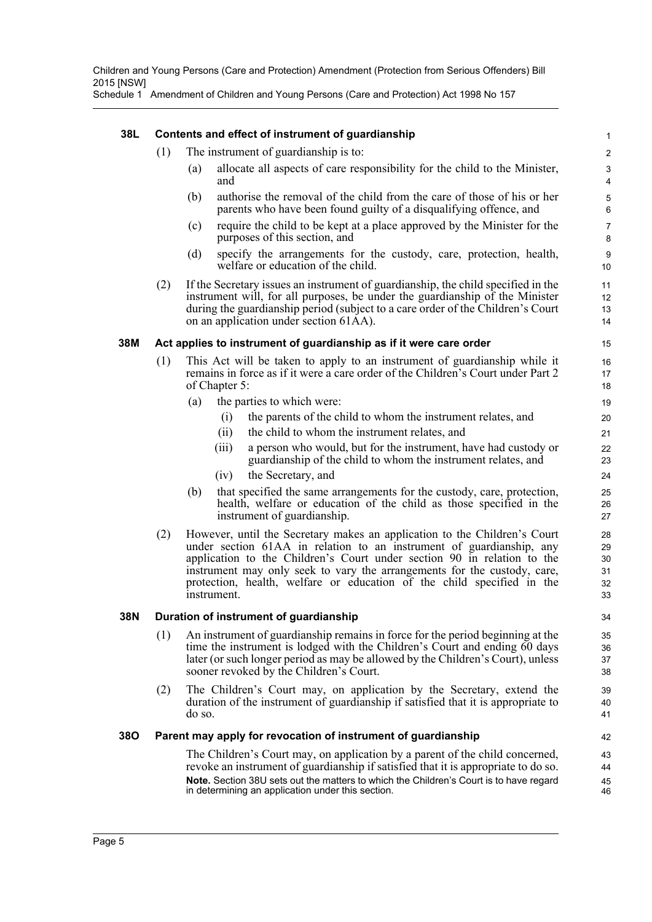Schedule 1 Amendment of Children and Young Persons (Care and Protection) Act 1998 No 157

| 38L |                                                               | Contents and effect of instrument of guardianship                                                                                                                                                                                                                                                                                                                                                 | 1                    |  |  |  |  |  |  |
|-----|---------------------------------------------------------------|---------------------------------------------------------------------------------------------------------------------------------------------------------------------------------------------------------------------------------------------------------------------------------------------------------------------------------------------------------------------------------------------------|----------------------|--|--|--|--|--|--|
|     | (1)<br>The instrument of guardianship is to:                  |                                                                                                                                                                                                                                                                                                                                                                                                   |                      |  |  |  |  |  |  |
|     |                                                               | allocate all aspects of care responsibility for the child to the Minister,<br>(a)<br>and                                                                                                                                                                                                                                                                                                          | 3<br>4               |  |  |  |  |  |  |
|     |                                                               | authorise the removal of the child from the care of those of his or her<br>(b)<br>parents who have been found guilty of a disqualifying offence, and                                                                                                                                                                                                                                              | 5<br>6               |  |  |  |  |  |  |
|     |                                                               | require the child to be kept at a place approved by the Minister for the<br>(c)<br>purposes of this section, and                                                                                                                                                                                                                                                                                  | 7<br>8               |  |  |  |  |  |  |
|     |                                                               | (d)<br>specify the arrangements for the custody, care, protection, health,<br>welfare or education of the child.                                                                                                                                                                                                                                                                                  | 9<br>10              |  |  |  |  |  |  |
|     | (2)                                                           | If the Secretary issues an instrument of guardianship, the child specified in the<br>instrument will, for all purposes, be under the guardianship of the Minister<br>during the guardianship period (subject to a care order of the Children's Court<br>on an application under section 61AA).                                                                                                    | 11<br>12<br>13<br>14 |  |  |  |  |  |  |
| 38M |                                                               | Act applies to instrument of guardianship as if it were care order                                                                                                                                                                                                                                                                                                                                | 15                   |  |  |  |  |  |  |
|     | (1)                                                           | This Act will be taken to apply to an instrument of guardianship while it<br>remains in force as if it were a care order of the Children's Court under Part 2<br>of Chapter 5:                                                                                                                                                                                                                    | 16<br>17<br>18       |  |  |  |  |  |  |
|     |                                                               | the parties to which were:<br>(a)                                                                                                                                                                                                                                                                                                                                                                 | 19                   |  |  |  |  |  |  |
|     |                                                               | the parents of the child to whom the instrument relates, and<br>(i)                                                                                                                                                                                                                                                                                                                               | 20                   |  |  |  |  |  |  |
|     |                                                               | (ii)<br>the child to whom the instrument relates, and                                                                                                                                                                                                                                                                                                                                             | 21                   |  |  |  |  |  |  |
|     |                                                               | a person who would, but for the instrument, have had custody or<br>(iii)<br>guardianship of the child to whom the instrument relates, and                                                                                                                                                                                                                                                         | 22<br>23             |  |  |  |  |  |  |
|     |                                                               | (iv)<br>the Secretary, and                                                                                                                                                                                                                                                                                                                                                                        | 24                   |  |  |  |  |  |  |
|     |                                                               | (b)<br>that specified the same arrangements for the custody, care, protection,<br>health, welfare or education of the child as those specified in the<br>instrument of guardianship.                                                                                                                                                                                                              | 25<br>26<br>27       |  |  |  |  |  |  |
|     | (2)                                                           | However, until the Secretary makes an application to the Children's Court<br>under section 61AA in relation to an instrument of guardianship, any<br>application to the Children's Court under section 90 in relation to the<br>instrument may only seek to vary the arrangements for the custody, care,<br>protection, health, welfare or education of the child specified in the<br>instrument. |                      |  |  |  |  |  |  |
| 38N |                                                               | Duration of instrument of guardianship                                                                                                                                                                                                                                                                                                                                                            | 34                   |  |  |  |  |  |  |
|     | (1)                                                           | An instrument of guardianship remains in force for the period beginning at the<br>time the instrument is lodged with the Children's Court and ending 60 days<br>later (or such longer period as may be allowed by the Children's Court), unless<br>sooner revoked by the Children's Court.                                                                                                        | 35<br>36<br>37<br>38 |  |  |  |  |  |  |
|     | (2)                                                           | The Children's Court may, on application by the Secretary, extend the<br>duration of the instrument of guardianship if satisfied that it is appropriate to<br>do so.                                                                                                                                                                                                                              | 39<br>40<br>41       |  |  |  |  |  |  |
| 38O | Parent may apply for revocation of instrument of guardianship |                                                                                                                                                                                                                                                                                                                                                                                                   |                      |  |  |  |  |  |  |
|     |                                                               | The Children's Court may, on application by a parent of the child concerned,                                                                                                                                                                                                                                                                                                                      | 43                   |  |  |  |  |  |  |
|     |                                                               | revoke an instrument of guardianship if satisfied that it is appropriate to do so.<br>Note. Section 38U sets out the matters to which the Children's Court is to have regard<br>in determining an application under this section.                                                                                                                                                                 | 44<br>45<br>46       |  |  |  |  |  |  |
|     |                                                               |                                                                                                                                                                                                                                                                                                                                                                                                   |                      |  |  |  |  |  |  |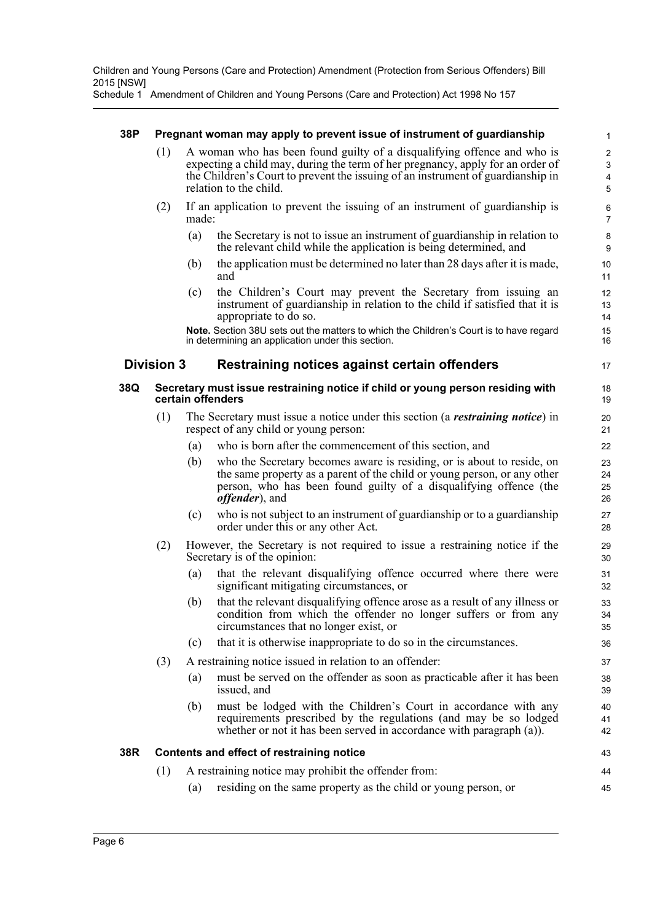Schedule 1 Amendment of Children and Young Persons (Care and Protection) Act 1998 No 157

#### **38P Pregnant woman may apply to prevent issue of instrument of guardianship**

(1) A woman who has been found guilty of a disqualifying offence and who is expecting a child may, during the term of her pregnancy, apply for an order of the Children's Court to prevent the issuing of an instrument of guardianship in relation to the child.

43 44 45

- (2) If an application to prevent the issuing of an instrument of guardianship is made:
	- (a) the Secretary is not to issue an instrument of guardianship in relation to the relevant child while the application is being determined, and
	- (b) the application must be determined no later than 28 days after it is made, and
	- (c) the Children's Court may prevent the Secretary from issuing an instrument of guardianship in relation to the child if satisfied that it is appropriate to do so.

**Note.** Section 38U sets out the matters to which the Children's Court is to have regard in determining an application under this section.

#### **Division 3 Restraining notices against certain offenders**

#### **38Q Secretary must issue restraining notice if child or young person residing with certain offenders**

- (1) The Secretary must issue a notice under this section (a *restraining notice*) in respect of any child or young person:
	- (a) who is born after the commencement of this section, and
	- (b) who the Secretary becomes aware is residing, or is about to reside, on the same property as a parent of the child or young person, or any other person, who has been found guilty of a disqualifying offence (the *offender*), and
	- (c) who is not subject to an instrument of guardianship or to a guardianship order under this or any other Act.
- (2) However, the Secretary is not required to issue a restraining notice if the Secretary is of the opinion:
	- (a) that the relevant disqualifying offence occurred where there were significant mitigating circumstances, or
	- (b) that the relevant disqualifying offence arose as a result of any illness or condition from which the offender no longer suffers or from any circumstances that no longer exist, or
	- (c) that it is otherwise inappropriate to do so in the circumstances.
- (3) A restraining notice issued in relation to an offender:
	- (a) must be served on the offender as soon as practicable after it has been issued, and
	- (b) must be lodged with the Children's Court in accordance with any requirements prescribed by the regulations (and may be so lodged whether or not it has been served in accordance with paragraph (a)).

#### **38R Contents and effect of restraining notice**

- (1) A restraining notice may prohibit the offender from:
	- (a) residing on the same property as the child or young person, or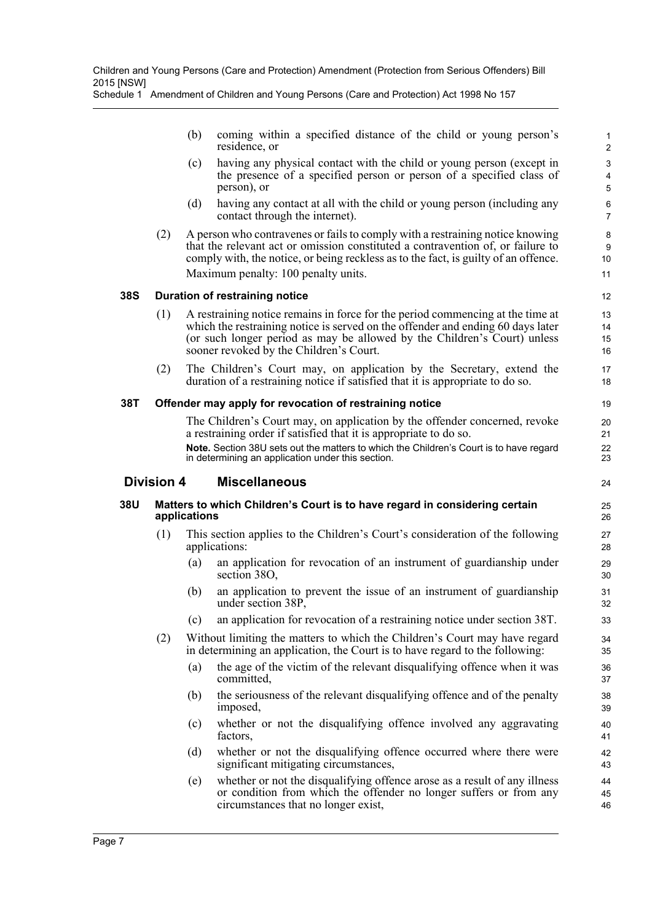Schedule 1 Amendment of Children and Young Persons (Care and Protection) Act 1998 No 157

(b) coming within a specified distance of the child or young person's residence, or

24

- (c) having any physical contact with the child or young person (except in the presence of a specified person or person of a specified class of person), or
- (d) having any contact at all with the child or young person (including any contact through the internet).
- (2) A person who contravenes or fails to comply with a restraining notice knowing that the relevant act or omission constituted a contravention of, or failure to comply with, the notice, or being reckless as to the fact, is guilty of an offence. Maximum penalty: 100 penalty units.

#### **38S Duration of restraining notice**

- (1) A restraining notice remains in force for the period commencing at the time at which the restraining notice is served on the offender and ending 60 days later (or such longer period as may be allowed by the Children's Court) unless sooner revoked by the Children's Court.
- (2) The Children's Court may, on application by the Secretary, extend the duration of a restraining notice if satisfied that it is appropriate to do so.

#### **38T Offender may apply for revocation of restraining notice**

The Children's Court may, on application by the offender concerned, revoke a restraining order if satisfied that it is appropriate to do so. **Note.** Section 38U sets out the matters to which the Children's Court is to have regard in determining an application under this section.

#### **Division 4 Miscellaneous**

#### **38U Matters to which Children's Court is to have regard in considering certain applications**

- (1) This section applies to the Children's Court's consideration of the following applications:
	- (a) an application for revocation of an instrument of guardianship under section 38O,
	- (b) an application to prevent the issue of an instrument of guardianship under section 38P,
	- (c) an application for revocation of a restraining notice under section 38T.
- (2) Without limiting the matters to which the Children's Court may have regard in determining an application, the Court is to have regard to the following:
	- (a) the age of the victim of the relevant disqualifying offence when it was committed,
	- (b) the seriousness of the relevant disqualifying offence and of the penalty imposed,
	- (c) whether or not the disqualifying offence involved any aggravating factors,
	- (d) whether or not the disqualifying offence occurred where there were significant mitigating circumstances,
	- (e) whether or not the disqualifying offence arose as a result of any illness or condition from which the offender no longer suffers or from any circumstances that no longer exist,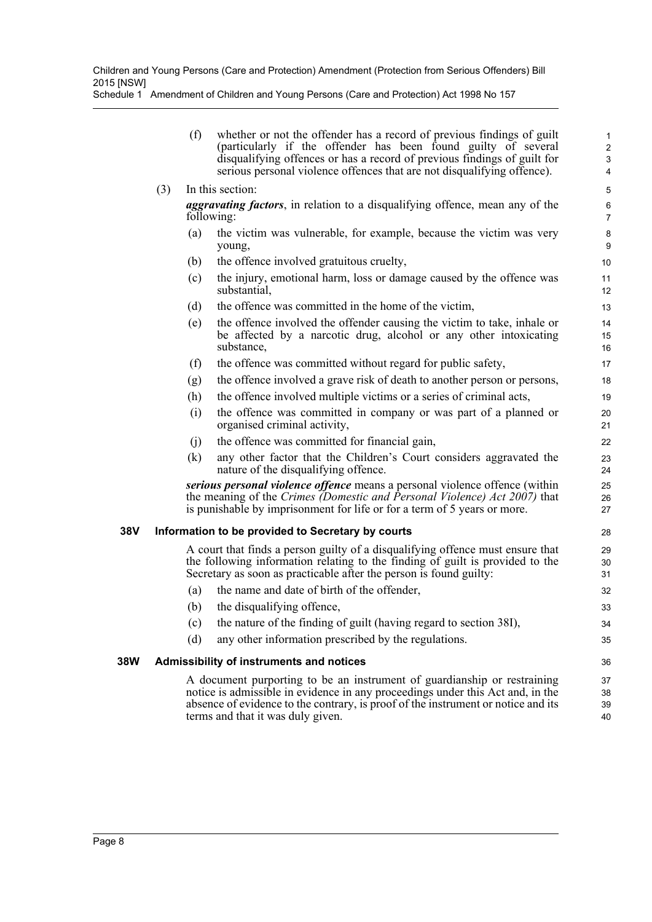Schedule 1 Amendment of Children and Young Persons (Care and Protection) Act 1998 No 157

|     |                                                                                                                                                                                                                                       | (f) | whether or not the offender has a record of previous findings of guilt<br>(particularly if the offender has been found guilty of several<br>disqualifying offences or has a record of previous findings of guilt for<br>serious personal violence offences that are not disqualifying offence). | $\mathbf{1}$<br>$\overline{c}$<br>$\mathsf 3$<br>4 |  |  |  |
|-----|---------------------------------------------------------------------------------------------------------------------------------------------------------------------------------------------------------------------------------------|-----|-------------------------------------------------------------------------------------------------------------------------------------------------------------------------------------------------------------------------------------------------------------------------------------------------|----------------------------------------------------|--|--|--|
|     | (3)                                                                                                                                                                                                                                   |     | In this section:                                                                                                                                                                                                                                                                                | 5                                                  |  |  |  |
|     |                                                                                                                                                                                                                                       |     | <i>aggravating factors</i> , in relation to a disqualifying offence, mean any of the<br>following:                                                                                                                                                                                              | 6<br>$\overline{7}$                                |  |  |  |
|     |                                                                                                                                                                                                                                       | (a) | the victim was vulnerable, for example, because the victim was very<br>young,                                                                                                                                                                                                                   | 8<br>9                                             |  |  |  |
|     |                                                                                                                                                                                                                                       | (b) | the offence involved gratuitous cruelty,                                                                                                                                                                                                                                                        | 10                                                 |  |  |  |
|     |                                                                                                                                                                                                                                       | (c) | the injury, emotional harm, loss or damage caused by the offence was<br>substantial,                                                                                                                                                                                                            | 11<br>12                                           |  |  |  |
|     |                                                                                                                                                                                                                                       | (d) | the offence was committed in the home of the victim,                                                                                                                                                                                                                                            | 13                                                 |  |  |  |
|     |                                                                                                                                                                                                                                       | (e) | the offence involved the offender causing the victim to take, inhale or<br>be affected by a narcotic drug, alcohol or any other intoxicating<br>substance,                                                                                                                                      | 14<br>15<br>16                                     |  |  |  |
|     |                                                                                                                                                                                                                                       | (f) | the offence was committed without regard for public safety,                                                                                                                                                                                                                                     | 17                                                 |  |  |  |
|     |                                                                                                                                                                                                                                       | (g) | the offence involved a grave risk of death to another person or persons,                                                                                                                                                                                                                        | 18                                                 |  |  |  |
|     |                                                                                                                                                                                                                                       | (h) | the offence involved multiple victims or a series of criminal acts,                                                                                                                                                                                                                             | 19                                                 |  |  |  |
|     |                                                                                                                                                                                                                                       | (i) | the offence was committed in company or was part of a planned or<br>organised criminal activity,                                                                                                                                                                                                | 20<br>21                                           |  |  |  |
|     |                                                                                                                                                                                                                                       | (j) | the offence was committed for financial gain,                                                                                                                                                                                                                                                   | 22                                                 |  |  |  |
|     |                                                                                                                                                                                                                                       | (k) | any other factor that the Children's Court considers aggravated the<br>nature of the disqualifying offence.                                                                                                                                                                                     | 23<br>24                                           |  |  |  |
|     | serious personal violence offence means a personal violence offence (within<br>the meaning of the Crimes (Domestic and Personal Violence) Act 2007) that<br>is punishable by imprisonment for life or for a term of 5 years or more.  |     |                                                                                                                                                                                                                                                                                                 |                                                    |  |  |  |
| 38V |                                                                                                                                                                                                                                       |     | Information to be provided to Secretary by courts                                                                                                                                                                                                                                               | 28                                                 |  |  |  |
|     | A court that finds a person guilty of a disqualifying offence must ensure that<br>the following information relating to the finding of guilt is provided to the<br>Secretary as soon as practicable after the person is found guilty: |     |                                                                                                                                                                                                                                                                                                 |                                                    |  |  |  |
|     |                                                                                                                                                                                                                                       | (a) | the name and date of birth of the offender,                                                                                                                                                                                                                                                     | 32                                                 |  |  |  |
|     |                                                                                                                                                                                                                                       | (b) | the disqualifying offence,                                                                                                                                                                                                                                                                      | 33                                                 |  |  |  |
|     |                                                                                                                                                                                                                                       | (c) | the nature of the finding of guilt (having regard to section 38I),                                                                                                                                                                                                                              | 34                                                 |  |  |  |
|     |                                                                                                                                                                                                                                       | (d) | any other information prescribed by the regulations.                                                                                                                                                                                                                                            | 35                                                 |  |  |  |
| 38W |                                                                                                                                                                                                                                       |     | Admissibility of instruments and notices                                                                                                                                                                                                                                                        | 36                                                 |  |  |  |
|     |                                                                                                                                                                                                                                       |     | A document purporting to be an instrument of guardianship or restraining<br>notice is admissible in evidence in any proceedings under this Act and, in the<br>absence of evidence to the contrary, is proof of the instrument or notice and its<br>terms and that it was duly given.            | 37<br>38<br>39<br>40                               |  |  |  |